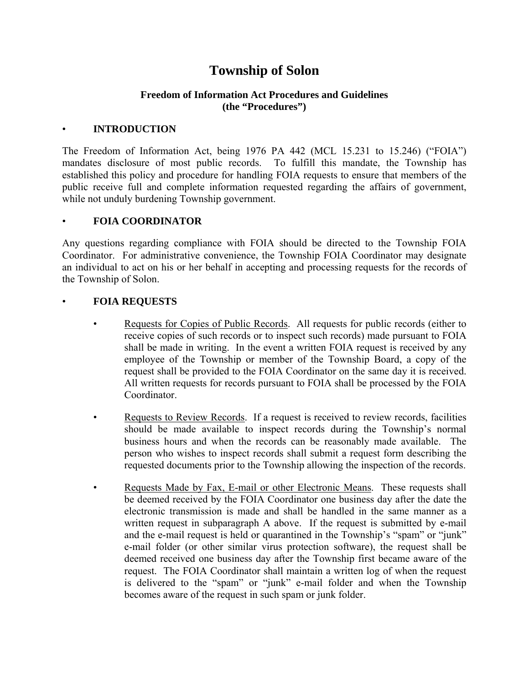# **Township of Solon**

# **Freedom of Information Act Procedures and Guidelines (the "Procedures")**

#### • **INTRODUCTION**

The Freedom of Information Act, being 1976 PA 442 (MCL 15.231 to 15.246) ("FOIA") mandates disclosure of most public records. To fulfill this mandate, the Township has established this policy and procedure for handling FOIA requests to ensure that members of the public receive full and complete information requested regarding the affairs of government, while not unduly burdening Township government.

## • **FOIA COORDINATOR**

Any questions regarding compliance with FOIA should be directed to the Township FOIA Coordinator. For administrative convenience, the Township FOIA Coordinator may designate an individual to act on his or her behalf in accepting and processing requests for the records of the Township of Solon.

## • **FOIA REQUESTS**

- Requests for Copies of Public Records. All requests for public records (either to receive copies of such records or to inspect such records) made pursuant to FOIA shall be made in writing. In the event a written FOIA request is received by any employee of the Township or member of the Township Board, a copy of the request shall be provided to the FOIA Coordinator on the same day it is received. All written requests for records pursuant to FOIA shall be processed by the FOIA Coordinator.
- Requests to Review Records. If a request is received to review records, facilities should be made available to inspect records during the Township's normal business hours and when the records can be reasonably made available. The person who wishes to inspect records shall submit a request form describing the requested documents prior to the Township allowing the inspection of the records.
- Requests Made by Fax, E-mail or other Electronic Means. These requests shall be deemed received by the FOIA Coordinator one business day after the date the electronic transmission is made and shall be handled in the same manner as a written request in subparagraph A above. If the request is submitted by e-mail and the e-mail request is held or quarantined in the Township's "spam" or "junk" e-mail folder (or other similar virus protection software), the request shall be deemed received one business day after the Township first became aware of the request. The FOIA Coordinator shall maintain a written log of when the request is delivered to the "spam" or "junk" e-mail folder and when the Township becomes aware of the request in such spam or junk folder.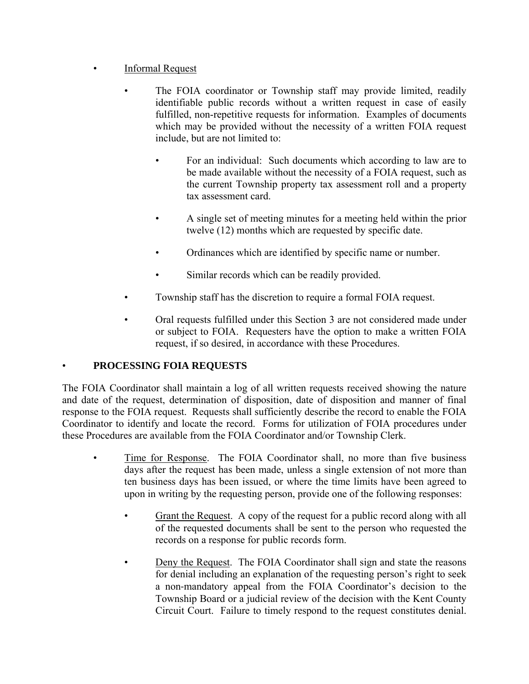- **Informal Request** 
	- The FOIA coordinator or Township staff may provide limited, readily identifiable public records without a written request in case of easily fulfilled, non-repetitive requests for information. Examples of documents which may be provided without the necessity of a written FOIA request include, but are not limited to:
		- For an individual: Such documents which according to law are to be made available without the necessity of a FOIA request, such as the current Township property tax assessment roll and a property tax assessment card.
		- A single set of meeting minutes for a meeting held within the prior twelve (12) months which are requested by specific date.
		- Ordinances which are identified by specific name or number.
		- Similar records which can be readily provided.
	- Township staff has the discretion to require a formal FOIA request.
	- Oral requests fulfilled under this Section 3 are not considered made under or subject to FOIA. Requesters have the option to make a written FOIA request, if so desired, in accordance with these Procedures.

# • **PROCESSING FOIA REQUESTS**

The FOIA Coordinator shall maintain a log of all written requests received showing the nature and date of the request, determination of disposition, date of disposition and manner of final response to the FOIA request. Requests shall sufficiently describe the record to enable the FOIA Coordinator to identify and locate the record. Forms for utilization of FOIA procedures under these Procedures are available from the FOIA Coordinator and/or Township Clerk.

- Time for Response. The FOIA Coordinator shall, no more than five business days after the request has been made, unless a single extension of not more than ten business days has been issued, or where the time limits have been agreed to upon in writing by the requesting person, provide one of the following responses:
	- Grant the Request. A copy of the request for a public record along with all of the requested documents shall be sent to the person who requested the records on a response for public records form.
	- Deny the Request. The FOIA Coordinator shall sign and state the reasons for denial including an explanation of the requesting person's right to seek a non‐mandatory appeal from the FOIA Coordinator's decision to the Township Board or a judicial review of the decision with the Kent County Circuit Court. Failure to timely respond to the request constitutes denial.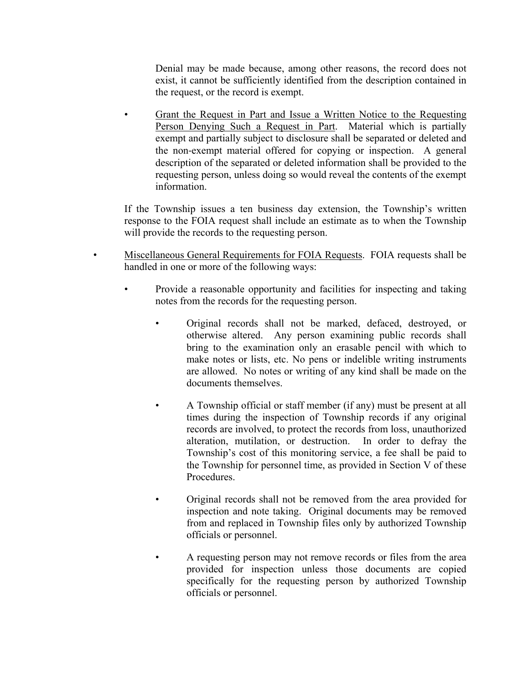Denial may be made because, among other reasons, the record does not exist, it cannot be sufficiently identified from the description contained in the request, or the record is exempt.

• Grant the Request in Part and Issue a Written Notice to the Requesting Person Denying Such a Request in Part. Material which is partially exempt and partially subject to disclosure shall be separated or deleted and the non‐exempt material offered for copying or inspection. A general description of the separated or deleted information shall be provided to the requesting person, unless doing so would reveal the contents of the exempt information.

If the Township issues a ten business day extension, the Township's written response to the FOIA request shall include an estimate as to when the Township will provide the records to the requesting person.

- Miscellaneous General Requirements for FOIA Requests. FOIA requests shall be handled in one or more of the following ways:
	- Provide a reasonable opportunity and facilities for inspecting and taking notes from the records for the requesting person.
		- Original records shall not be marked, defaced, destroyed, or otherwise altered. Any person examining public records shall bring to the examination only an erasable pencil with which to make notes or lists, etc. No pens or indelible writing instruments are allowed. No notes or writing of any kind shall be made on the documents themselves.
		- A Township official or staff member (if any) must be present at all times during the inspection of Township records if any original records are involved, to protect the records from loss, unauthorized alteration, mutilation, or destruction. In order to defray the Township's cost of this monitoring service, a fee shall be paid to the Township for personnel time, as provided in Section V of these **Procedures**
		- Original records shall not be removed from the area provided for inspection and note taking. Original documents may be removed from and replaced in Township files only by authorized Township officials or personnel.
		- A requesting person may not remove records or files from the area provided for inspection unless those documents are copied specifically for the requesting person by authorized Township officials or personnel.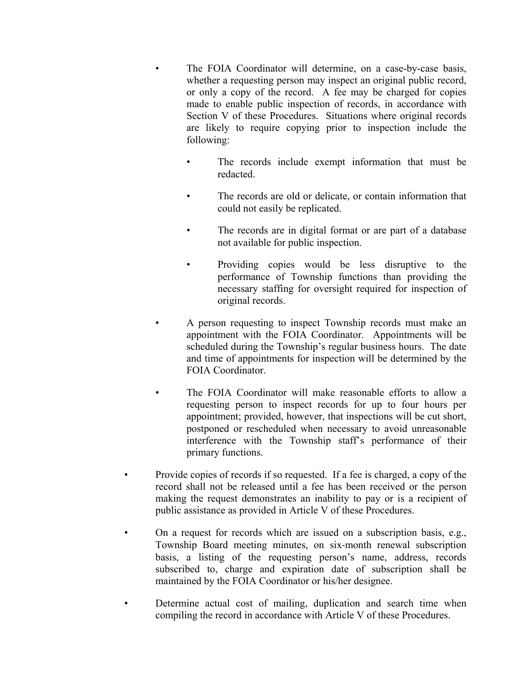- The FOIA Coordinator will determine, on a case-by-case basis, whether a requesting person may inspect an original public record, or only a copy of the record. A fee may be charged for copies made to enable public inspection of records, in accordance with Section V of these Procedures. Situations where original records are likely to require copying prior to inspection include the following:
	- The records include exempt information that must be redacted.
	- The records are old or delicate, or contain information that could not easily be replicated.
	- The records are in digital format or are part of a database not available for public inspection.
	- Providing copies would be less disruptive to the performance of Township functions than providing the necessary staffing for oversight required for inspection of original records.
- A person requesting to inspect Township records must make an appointment with the FOIA Coordinator. Appointments will be scheduled during the Township's regular business hours. The date and time of appointments for inspection will be determined by the FOIA Coordinator.
- The FOIA Coordinator will make reasonable efforts to allow a requesting person to inspect records for up to four hours per appointment; provided, however, that inspections will be cut short, postponed or rescheduled when necessary to avoid unreasonable interference with the Township staff's performance of their primary functions.
- Provide copies of records if so requested. If a fee is charged, a copy of the record shall not be released until a fee has been received or the person making the request demonstrates an inability to pay or is a recipient of public assistance as provided in Article V of these Procedures.
- On a request for records which are issued on a subscription basis, e.g., Township Board meeting minutes, on six‐month renewal subscription basis, a listing of the requesting person's name, address, records subscribed to, charge and expiration date of subscription shall be maintained by the FOIA Coordinator or his/her designee.
- Determine actual cost of mailing, duplication and search time when compiling the record in accordance with Article V of these Procedures.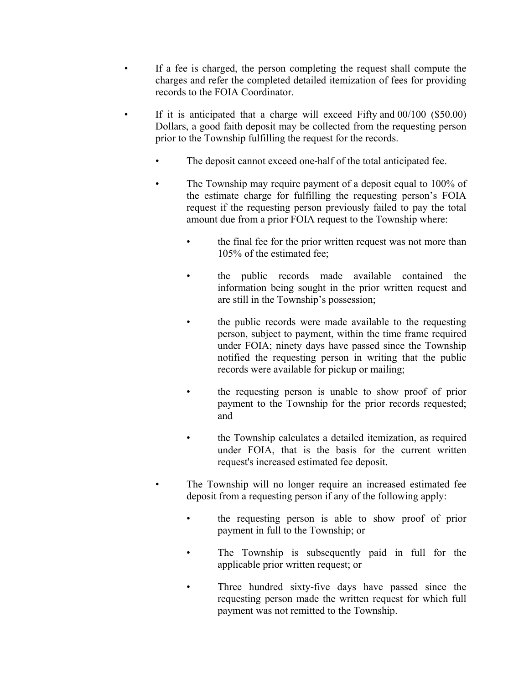- If a fee is charged, the person completing the request shall compute the charges and refer the completed detailed itemization of fees for providing records to the FOIA Coordinator.
- If it is anticipated that a charge will exceed Fifty and  $00/100$  (\$50.00) Dollars, a good faith deposit may be collected from the requesting person prior to the Township fulfilling the request for the records.
	- The deposit cannot exceed one-half of the total anticipated fee.
	- The Township may require payment of a deposit equal to 100% of the estimate charge for fulfilling the requesting person's FOIA request if the requesting person previously failed to pay the total amount due from a prior FOIA request to the Township where:
		- the final fee for the prior written request was not more than 105% of the estimated fee;
		- the public records made available contained the information being sought in the prior written request and are still in the Township's possession;
		- the public records were made available to the requesting person, subject to payment, within the time frame required under FOIA; ninety days have passed since the Township notified the requesting person in writing that the public records were available for pickup or mailing;
		- the requesting person is unable to show proof of prior payment to the Township for the prior records requested; and
		- the Township calculates a detailed itemization, as required under FOIA, that is the basis for the current written request's increased estimated fee deposit.
	- The Township will no longer require an increased estimated fee deposit from a requesting person if any of the following apply:
		- the requesting person is able to show proof of prior payment in full to the Township; or
		- The Township is subsequently paid in full for the applicable prior written request; or
		- Three hundred sixty-five days have passed since the requesting person made the written request for which full payment was not remitted to the Township.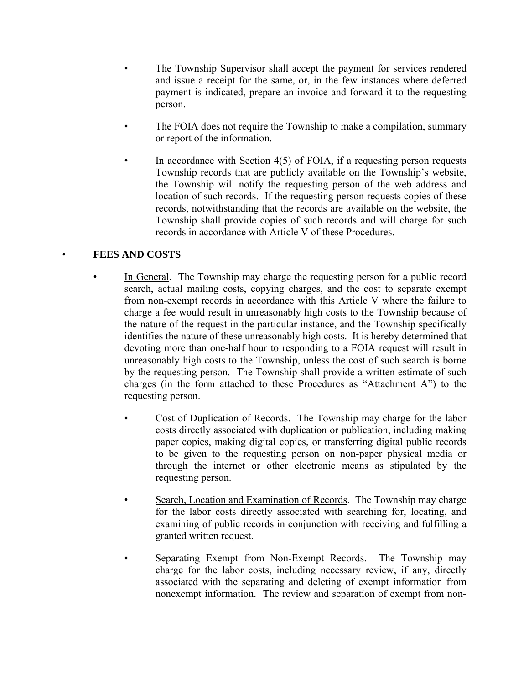- The Township Supervisor shall accept the payment for services rendered and issue a receipt for the same, or, in the few instances where deferred payment is indicated, prepare an invoice and forward it to the requesting person.
- The FOIA does not require the Township to make a compilation, summary or report of the information.
- In accordance with Section  $4(5)$  of FOIA, if a requesting person requests Township records that are publicly available on the Township's website, the Township will notify the requesting person of the web address and location of such records. If the requesting person requests copies of these records, notwithstanding that the records are available on the website, the Township shall provide copies of such records and will charge for such records in accordance with Article V of these Procedures.

# • **FEES AND COSTS**

- In General. The Township may charge the requesting person for a public record search, actual mailing costs, copying charges, and the cost to separate exempt from non-exempt records in accordance with this Article V where the failure to charge a fee would result in unreasonably high costs to the Township because of the nature of the request in the particular instance, and the Township specifically identifies the nature of these unreasonably high costs. It is hereby determined that devoting more than one-half hour to responding to a FOIA request will result in unreasonably high costs to the Township, unless the cost of such search is borne by the requesting person. The Township shall provide a written estimate of such charges (in the form attached to these Procedures as "Attachment A") to the requesting person.
	- Cost of Duplication of Records. The Township may charge for the labor costs directly associated with duplication or publication, including making paper copies, making digital copies, or transferring digital public records to be given to the requesting person on non-paper physical media or through the internet or other electronic means as stipulated by the requesting person.
	- Search, Location and Examination of Records. The Township may charge for the labor costs directly associated with searching for, locating, and examining of public records in conjunction with receiving and fulfilling a granted written request.
	- Separating Exempt from Non-Exempt Records. The Township may charge for the labor costs, including necessary review, if any, directly associated with the separating and deleting of exempt information from nonexempt information. The review and separation of exempt from non-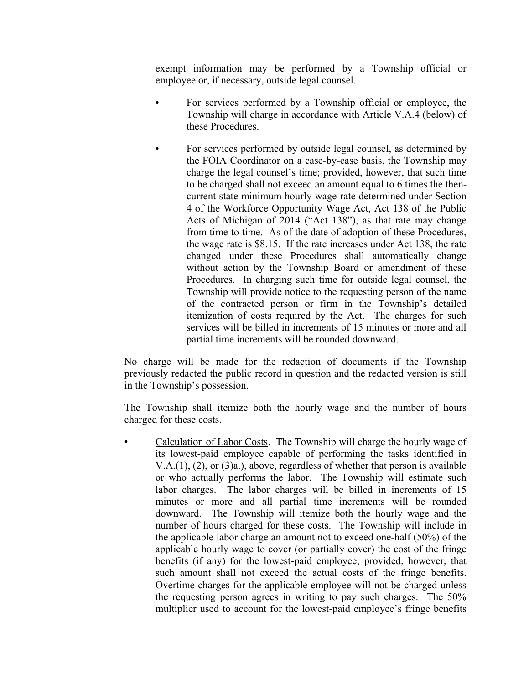exempt information may be performed by a Township official or employee or, if necessary, outside legal counsel.

- For services performed by a Township official or employee, the Township will charge in accordance with Article V.A.4 (below) of these Procedures.
	- For services performed by outside legal counsel, as determined by the FOIA Coordinator on a case-by-case basis, the Township may charge the legal counsel's time; provided, however, that such time to be charged shall not exceed an amount equal to 6 times the thencurrent state minimum hourly wage rate determined under Section 4 of the Workforce Opportunity Wage Act, Act 138 of the Public Acts of Michigan of 2014 ("Act 138"), as that rate may change from time to time. As of the date of adoption of these Procedures, the wage rate is \$8.15. If the rate increases under Act 138, the rate changed under these Procedures shall automatically change without action by the Township Board or amendment of these Procedures. In charging such time for outside legal counsel, the Township will provide notice to the requesting person of the name of the contracted person or firm in the Township's detailed itemization of costs required by the Act. The charges for such services will be billed in increments of 15 minutes or more and all partial time increments will be rounded downward.

No charge will be made for the redaction of documents if the Township previously redacted the public record in question and the redacted version is still in the Township's possession.

The Township shall itemize both the hourly wage and the number of hours charged for these costs.

• Calculation of Labor Costs. The Township will charge the hourly wage of its lowest-paid employee capable of performing the tasks identified in V.A.(1), (2), or (3)a.), above, regardless of whether that person is available or who actually performs the labor. The Township will estimate such labor charges. The labor charges will be billed in increments of 15 minutes or more and all partial time increments will be rounded downward. The Township will itemize both the hourly wage and the number of hours charged for these costs. The Township will include in the applicable labor charge an amount not to exceed one-half (50%) of the applicable hourly wage to cover (or partially cover) the cost of the fringe benefits (if any) for the lowest-paid employee; provided, however, that such amount shall not exceed the actual costs of the fringe benefits. Overtime charges for the applicable employee will not be charged unless the requesting person agrees in writing to pay such charges. The 50% multiplier used to account for the lowest-paid employee's fringe benefits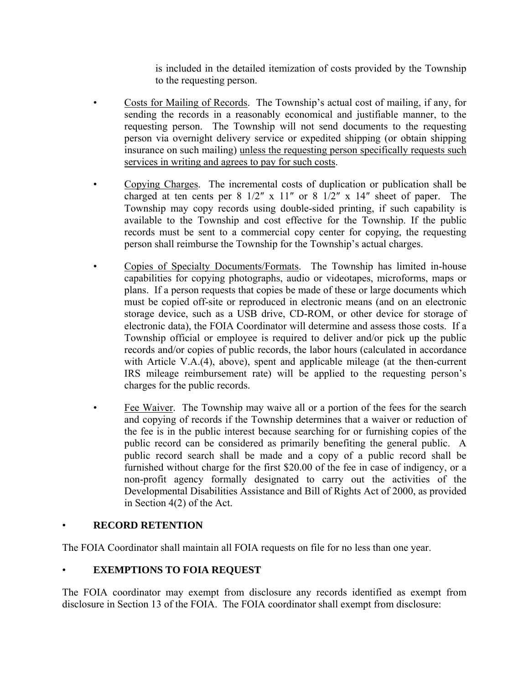is included in the detailed itemization of costs provided by the Township to the requesting person.

- Costs for Mailing of Records. The Township's actual cost of mailing, if any, for sending the records in a reasonably economical and justifiable manner, to the requesting person. The Township will not send documents to the requesting person via overnight delivery service or expedited shipping (or obtain shipping insurance on such mailing) unless the requesting person specifically requests such services in writing and agrees to pay for such costs.
- Copying Charges. The incremental costs of duplication or publication shall be charged at ten cents per 8 1/2″ x 11″ or 8 1/2″ x 14″ sheet of paper. The Township may copy records using double-sided printing, if such capability is available to the Township and cost effective for the Township. If the public records must be sent to a commercial copy center for copying, the requesting person shall reimburse the Township for the Township's actual charges.
- Copies of Specialty Documents/Formats. The Township has limited in-house capabilities for copying photographs, audio or videotapes, microforms, maps or plans. If a person requests that copies be made of these or large documents which must be copied off-site or reproduced in electronic means (and on an electronic storage device, such as a USB drive, CD-ROM, or other device for storage of electronic data), the FOIA Coordinator will determine and assess those costs. If a Township official or employee is required to deliver and/or pick up the public records and/or copies of public records, the labor hours (calculated in accordance with Article V.A.(4), above), spent and applicable mileage (at the then-current IRS mileage reimbursement rate) will be applied to the requesting person's charges for the public records.
- Fee Waiver. The Township may waive all or a portion of the fees for the search and copying of records if the Township determines that a waiver or reduction of the fee is in the public interest because searching for or furnishing copies of the public record can be considered as primarily benefiting the general public. A public record search shall be made and a copy of a public record shall be furnished without charge for the first \$20.00 of the fee in case of indigency, or a non-profit agency formally designated to carry out the activities of the Developmental Disabilities Assistance and Bill of Rights Act of 2000, as provided in Section 4(2) of the Act.

## • **RECORD RETENTION**

The FOIA Coordinator shall maintain all FOIA requests on file for no less than one year.

# • **EXEMPTIONS TO FOIA REQUEST**

The FOIA coordinator may exempt from disclosure any records identified as exempt from disclosure in Section 13 of the FOIA. The FOIA coordinator shall exempt from disclosure: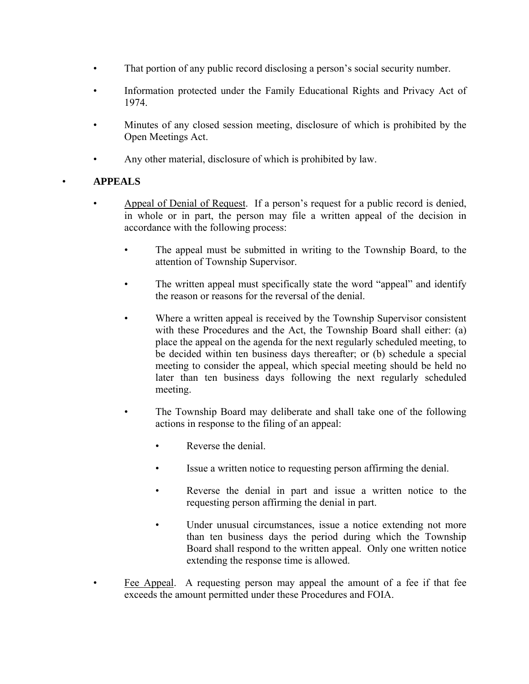- That portion of any public record disclosing a person's social security number.
- Information protected under the Family Educational Rights and Privacy Act of 1974.
- Minutes of any closed session meeting, disclosure of which is prohibited by the Open Meetings Act.
- Any other material, disclosure of which is prohibited by law.

# • **APPEALS**

- Appeal of Denial of Request. If a person's request for a public record is denied, in whole or in part, the person may file a written appeal of the decision in accordance with the following process:
	- The appeal must be submitted in writing to the Township Board, to the attention of Township Supervisor.
	- The written appeal must specifically state the word "appeal" and identify the reason or reasons for the reversal of the denial.
	- Where a written appeal is received by the Township Supervisor consistent with these Procedures and the Act, the Township Board shall either: (a) place the appeal on the agenda for the next regularly scheduled meeting, to be decided within ten business days thereafter; or (b) schedule a special meeting to consider the appeal, which special meeting should be held no later than ten business days following the next regularly scheduled meeting.
	- The Township Board may deliberate and shall take one of the following actions in response to the filing of an appeal:
		- Reverse the denial.
		- Issue a written notice to requesting person affirming the denial.
		- Reverse the denial in part and issue a written notice to the requesting person affirming the denial in part.
		- Under unusual circumstances, issue a notice extending not more than ten business days the period during which the Township Board shall respond to the written appeal. Only one written notice extending the response time is allowed.
- Fee Appeal. A requesting person may appeal the amount of a fee if that fee exceeds the amount permitted under these Procedures and FOIA.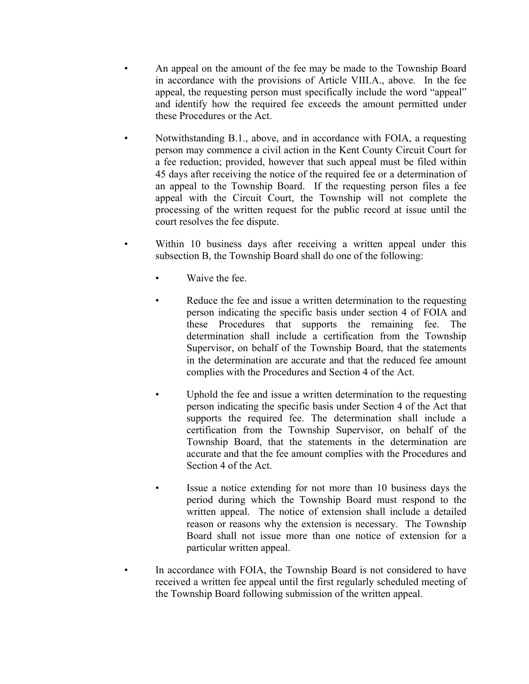- An appeal on the amount of the fee may be made to the Township Board in accordance with the provisions of Article VIII.A., above. In the fee appeal, the requesting person must specifically include the word "appeal" and identify how the required fee exceeds the amount permitted under these Procedures or the Act.
- Notwithstanding B.1., above, and in accordance with FOIA, a requesting person may commence a civil action in the Kent County Circuit Court for a fee reduction; provided, however that such appeal must be filed within 45 days after receiving the notice of the required fee or a determination of an appeal to the Township Board. If the requesting person files a fee appeal with the Circuit Court, the Township will not complete the processing of the written request for the public record at issue until the court resolves the fee dispute.
- Within 10 business days after receiving a written appeal under this subsection B, the Township Board shall do one of the following:
	- Waive the fee.
	- Reduce the fee and issue a written determination to the requesting person indicating the specific basis under section 4 of FOIA and these Procedures that supports the remaining fee. The determination shall include a certification from the Township Supervisor, on behalf of the Township Board, that the statements in the determination are accurate and that the reduced fee amount complies with the Procedures and Section 4 of the Act.
	- Uphold the fee and issue a written determination to the requesting person indicating the specific basis under Section 4 of the Act that supports the required fee. The determination shall include a certification from the Township Supervisor, on behalf of the Township Board, that the statements in the determination are accurate and that the fee amount complies with the Procedures and Section 4 of the Act.
	- Issue a notice extending for not more than 10 business days the period during which the Township Board must respond to the written appeal. The notice of extension shall include a detailed reason or reasons why the extension is necessary. The Township Board shall not issue more than one notice of extension for a particular written appeal.
- In accordance with FOIA, the Township Board is not considered to have received a written fee appeal until the first regularly scheduled meeting of the Township Board following submission of the written appeal.